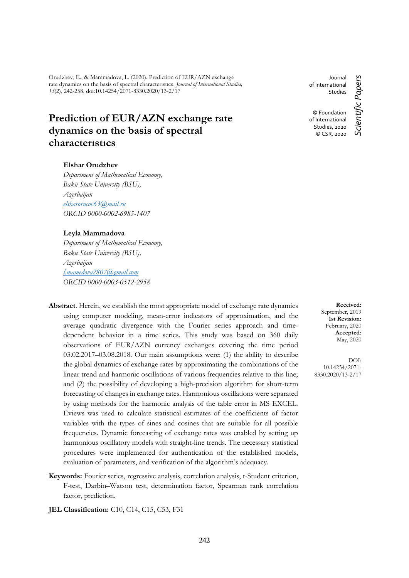Orudzhev, E., & Mammadova, L. (2020). Prediction of EUR/AZN exchange rate dynamics on the basis of spectral characterıstıcs. *Journal of International Studies, 13*(2), 242-258. doi:10.14254/2071-8330.2020/13-2/17

# **Prediction of EUR/AZN exchange rate dynamics on the basis of spectral characterıstıcs**

#### **Elshar Orudzhev**

*Department of Mathematical Economy, Baku State University (BSU), Azerbaijan [elsharorucov63@mail.ru](mailto:elsharorucov63@mail.ru) ORCID 0000-0002-6985-1407*

#### **Leyla Mammadova**

*Department of Mathematical Economy, Baku State University (BSU), Azerbaijan [l.mamedova2807@gmail.com](mailto:l.mamedova2807@gmail.com) ORCID 0000-0003-0512-2958*

- **Abstract**. Herein, we establish the most appropriate model of exchange rate dynamics using computer modeling, mean-error indicators of approximation, and the average quadratic divergence with the Fourier series approach and timedependent behavior in a time series. This study was based on 360 daily observations of EUR/AZN currency exchanges covering the time period 03.02.2017–03.08.2018. Our main assumptions were: (1) the ability to describe the global dynamics of exchange rates by approximating the combinations of the linear trend and harmonic oscillations of various frequencies relative to this line; and (2) the possibility of developing a high-precision algorithm for short-term forecasting of changes in exchange rates. Harmonious oscillations were separated by using methods for the harmonic analysis of the table error in MS EXCEL. Eviews was used to calculate statistical estimates of the coefficients of factor variables with the types of sines and cosines that are suitable for all possible frequencies. Dynamic forecasting of exchange rates was enabled by setting up harmonious oscillatory models with straight-line trends. The necessary statistical procedures were implemented for authentication of the established models, evaluation of parameters, and verification of the algorithm's adequacy.
- **Keywords:** Fourier series, regressive analysis, correlation analysis, t-Student criterion, F-test, Darbin–Watson test, determination factor, Spearman rank correlation factor, prediction.

**JEL Classification:** C10, C14, C15, C53, F31

Journal of International Studies © Foundation

Scientific Papers *Scientific Papers* of International Studies, 2020 © CSR, 2020

> **Received:** September, 2019 **1st Revision:** February, 2020 **Accepted:** May, 2020

DOI: 10.14254/2071- 8330.2020/13-2/17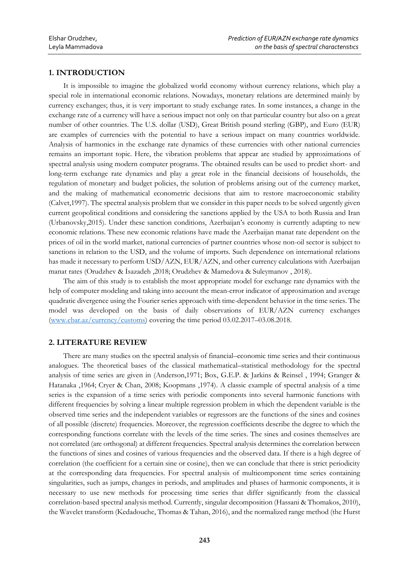## **1. INTRODUCTION**

It is impossible to imagine the globalized world economy without currency relations, which play a special role in international economic relations. Nowadays, monetary relations are determined mainly by currency exchanges; thus, it is very important to study exchange rates. In some instances, a change in the exchange rate of a currency will have a serious impact not only on that particular country but also on a great number of other countries. The U.S. dollar (USD), Great British pound sterling (GBP), and Euro (EUR) are examples of currencies with the potential to have a serious impact on many countries worldwide. Analysis of harmonics in the exchange rate dynamics of these currencies with other national currencies remains an important topic. Here, the vibration problems that appear are studied by approximations of spectral analysis using modern computer programs. The obtained results can be used to predict short- and long-term exchange rate dynamics and play a great role in the financial decisions of households, the regulation of monetary and budget policies, the solution of problems arising out of the currency market, and the making of mathematical econometric decisions that aim to restore macroeconomic stability (Calvet,1997). The spectral analysis problem that we consider in this paper needs to be solved urgently given current geopolitical conditions and considering the sanctions applied by the USA to both Russia and Iran (Urbanovsky,2015). Under these sanction conditions, Azerbaijan's economy is currently adapting to new economic relations. These new economic relations have made the Azerbaijan manat rate dependent on the prices of oil in the world market, national currencies of partner countries whose non-oil sector is subject to sanctions in relation to the USD, and the volume of imports. Such dependence on international relations has made it necessary to perform USD/AZN, EUR/AZN, and other currency calculations with Azerbaijan manat rates (Orudzhev & İsazadeh ,2018; Orudzhev & Mamedova & Suleymanov , 2018).

The aim of this study is to establish the most appropriate model for exchange rate dynamics with the help of computer modeling and taking into account the mean-error indicator of approximation and average quadratic divergence using the Fourier series approach with time-dependent behavior in the time series. The model was developed on the basis of daily observations of EUR/AZN currency exchanges [\(www.cbar.az/currency/customs\)](http://www.cbar.az/currency/customs) covering the time period 03.02.2017–03.08.2018.

#### **2. LITERATURE REVIEW**

There are many studies on the spectral analysis of financial–economic time series and their continuous analogues. The theoretical bases of the classical mathematical–statistical methodology for the spectral analysis of time series are given in (Anderson,1971; Box, G.E.P. & Jarkins & Reinsel , 1994; Granger & Hatanaka ,1964; Cryer & Chan, 2008; Koopmans ,1974). A classic example of spectral analysis of a time series is the expansion of a time series with periodic components into several harmonic functions with different frequencies by solving a linear multiple regression problem in which the dependent variable is the observed time series and the independent variables or regressors are the functions of the sines and cosines of all possible (discrete) frequencies. Moreover, the regression coefficients describe the degree to which the corresponding functions correlate with the levels of the time series. The sines and cosines themselves are not correlated (are orthogonal) at different frequencies. Spectral analysis determines the correlation between the functions of sines and cosines of various frequencies and the observed data. If there is a high degree of correlation (the coefficient for a certain sine or cosine), then we can conclude that there is strict periodicity at the corresponding data frequencies. For spectral analysis of multicomponent time series containing singularities, such as jumps, changes in periods, and amplitudes and phases of harmonic components, it is necessary to use new methods for processing time series that differ significantly from the classical correlation-based spectral analysis method. Currently, singular decomposition (Hassani & Thomakos, 2010), the Wavelet transform (Kedadouche, Thomas & Tahan, 2016), and the normalized range method (the Hurst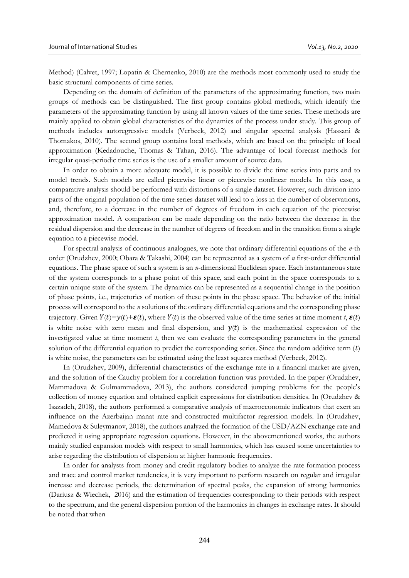Method) (Calvet, 1997; Lopatin & Chernenko, 2010) are the methods most commonly used to study the basic structural components of time series.

Depending on the domain of definition of the parameters of the approximating function, two main groups of methods can be distinguished. The first group contains global methods, which identify the parameters of the approximating function by using all known values of the time series. These methods are mainly applied to obtain global characteristics of the dynamics of the process under study. This group of methods includes autoregressive models (Verbeek, 2012) and singular spectral analysis (Hassani & Thomakos, 2010). The second group contains local methods, which are based on the principle of local approximation (Kedadouche, Thomas & Tahan, 2016). The advantage of local forecast methods for irregular quasi-periodic time series is the use of a smaller amount of source data.

In order to obtain a more adequate model, it is possible to divide the time series into parts and to model trends. Such models are called piecewise linear or piecewise nonlinear models. In this case, a comparative analysis should be performed with distortions of a single dataset. However, such division into parts of the original population of the time series dataset will lead to a loss in the number of observations, and, therefore, to a decrease in the number of degrees of freedom in each equation of the piecewise approximation model. A comparison can be made depending on the ratio between the decrease in the residual dispersion and the decrease in the number of degrees of freedom and in the transition from a single equation to a piecewise model.

For spectral analysis of continuous analogues, we note that ordinary differential equations of the *n*-th order (Orudzhev, 2000; Obara & Takashi, 2004) can be represented as a system of *n* first-order differential equations. The phase space of such a system is an *n*-dimensional Euclidean space. Each instantaneous state of the system corresponds to a phase point of this space, and each point in the space corresponds to a certain unique state of the system. The dynamics can be represented as a sequential change in the position of phase points, i.e., trajectories of motion of these points in the phase space. The behavior of the initial process will correspond to the *n* solutions of the ordinary differential equations and the corresponding phase trajectory. Given  $Y(t)=y(t)+\epsilon(t)$ , where  $Y(t)$  is the observed value of the time series at time moment *t*,  $\epsilon(t)$ is white noise with zero mean and final dispersion, and  $y(t)$  is the mathematical expression of the investigated value at time moment *t*, then we can evaluate the corresponding parameters in the general solution of the differential equation to predict the corresponding series. Since the random additive term  $(t)$ is white noise, the parameters can be estimated using the least squares method (Verbeek, 2012).

In (Orudzhev, 2009), differential characteristics of the exchange rate in a financial market are given, and the solution of the Cauchy problem for a correlation function was provided. In the paper (Orudzhev, Mammadova & Gulmammadova, 2013), the authors considered jumping problems for the people's collection of money equation and obtained explicit expressions for distribution densities. In (Orudzhev & Isazadeh, 2018), the authors performed a comparative analysis of macroeconomic indicators that exert an influence on the Azerbaijan manat rate and constructed multifactor regression models. In (Orudzhev, Mamedova & Suleymanov, 2018), the authors analyzed the formation of the USD/AZN exchange rate and predicted it using appropriate regression equations. However, in the abovementioned works, the authors mainly studied expansion models with respect to small harmonics, which has caused some uncertainties to arise regarding the distribution of dispersion at higher harmonic frequencies.

In order for analysts from money and credit regulatory bodies to analyze the rate formation process and trace and control market tendencies, it is very important to perform research on regular and irregular increase and decrease periods, the determination of spectral peaks, the expansion of strong harmonics (Dariusz & Wiechek, 2016) and the estimation of frequencies corresponding to their periods with respect to the spectrum, and the general dispersion portion of the harmonics in changes in exchange rates. It should be noted that when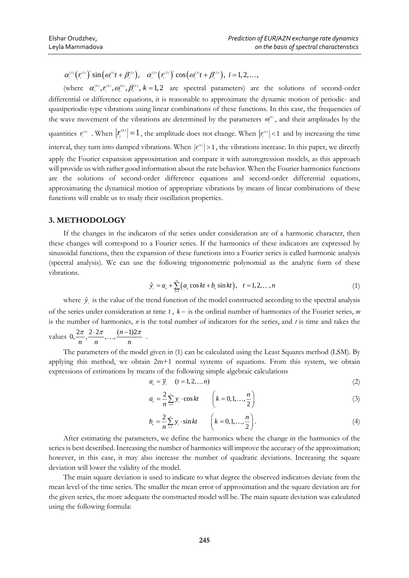$\alpha_i^{\text{\tiny (1)}} \bigl( r_i^{\text{\tiny (1)}} \bigr)' \sin \bigl( \varpi_i^{\text{\tiny (1)}} t + \beta_i^{\text{\tiny (1)}} \bigr), \quad \alpha_i^{\text{\tiny (2)}} \bigl( r_i^{\text{\tiny (2)}} \bigr)' \cos \bigl( \varpi_i^{\text{\tiny (2)}} t + \beta_i^{\text{\tiny (2)}} \bigr), \; i = 1, 2, \ldots,$ 

 $(r_i^{\text{m}})$  sin  $(\omega_i^{\text{m}}t + \beta_i^{\text{m}})$ ,  $\alpha_i^{\text{m}}(r_i^{\text{m}})$  cos  $(\omega_i^{\text{m}}t + \gamma_i^{\text{m}})$ .<br>  $\alpha_i^{\text{m}}(r_i^{\text{m}})$ ,  $\alpha_i^{\text{m}}(r_i^{\text{m}})$ ,  $k = 1, 2$  are spectral<br>
al or difference equations, it is reasonable to<br>
ordic-typ (where  $\alpha_i^{(k)}, r_i^{(k)}, \omega_i^{(k)}, \beta_i^{(k)}, k = 1,2$  are spectral parameters) are the solutions of second-order differential or difference equations, it is reasonable to approximate the dynamic motion of periodic- and quasiperiodic-type vibrations using linear combinations of these functions. In this case, the frequencies of the wave movement of the vibrations are determined by the parameters  $\omega_i^{(k)}$ , and their amplitudes by the quantities  $r_i^{(k)}$ . When  $|r_i^{(k)}| = 1$  $r_i^{(k)}$  = 1, the amplitude does not change. When  $|r_i^{(k)}|$  < 1 and by increasing the time interval, they turn into damped vibrations. When  $|r_i^{(k)}| > 1$ , the vibrations increase. In this paper, we directly apply the Fourier expansion approximation and compare it with autoregression models, as this approach will provide us with rather good information about the rate behavior. When the Fourier harmonics functions are the solutions of second-order difference equations and second-order differential equations, approximating the dynamical motion of appropriate vibrations by means of linear combinations of these functions will enable us to study their oscillation properties.

#### **3. METHODOLOGY**

If the changes in the indicators of the series under consideration are of a harmonic character, then these changes will correspond to a Fourier series. If the harmonics of these indicators are expressed by sinusoidal functions, then the expansion of these functions into a Fourier series is called harmonic analysis (spectral analysis). We can use the following trigonometric polynomial as the analytic form of these vibrations.

$$
\hat{y}_t = a_0 + \sum_{i=1}^{m} (a_k \cos kt + b_k \sin kt), \quad t = 1, 2, ..., n
$$
\n(1)

where  $\hat{y}_i$  is the value of the trend function of the model constructed according to the spectral analysis of the series under consideration at time t,  $k -$  is the ordinal number of harmonics of the Fourier series, m is the number of harmonics, *n* is the total number of indicators for the series, and *t* is time and takes the values  $0, \frac{2\pi}{n}, \frac{2 \cdot 2\pi}{n}, ..., \frac{(n-1)2}{n}$  $\frac{\pi}{1}, \frac{2 \cdot 2\pi}{1}, \ldots, \frac{(n-1)2\pi}{1}$ .

*k*

The parameters of the model given in (1) can be calculated using the Least Squares method (LSM). By applying this method, we obtain 2m+1 normal systems of equations. From this system, we obtain expressions of estimations by means of the following simple algebraic calculations

$$
a_{0} = \overline{y}_{i} \quad (t = 1, 2, \dots n) \tag{2}
$$

$$
a_{k} = \frac{2}{n} \sum_{i=1}^{n} y_{i} \cdot \cos kt \qquad \left(k = 0, 1, ..., \frac{n}{2}\right)
$$
 (3)

$$
b_{k} = \frac{2}{n} \sum_{i=1}^{n} y_{i} \cdot \sin kt \qquad \left(k = 0, 1, ..., \frac{n}{2}\right).
$$
 (4)

After estimating the parameters, we define the harmonics where the change in the harmonics of the series is best described. Increasing the number of harmonics will improve the accuracy of the approximation; however, in this case, it may also increase the number of quadratic deviations. Increasing the square deviation will lower the validity of the model.

The main square deviation is used to indicate to what degree the observed indicators deviate from the mean level of the time series. The smaller the mean error of approximation and the square deviation are for the given series, the more adequate the constructed model will be. The main square deviation was calculated using the following formula: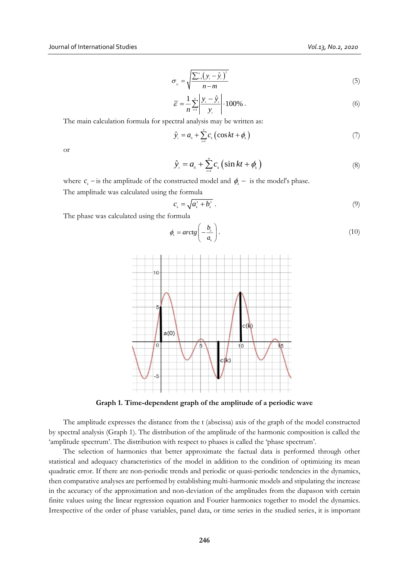$$
\sigma_{y_i} = \sqrt{\frac{\sum_{i=1}^{n} \left(y_i - \hat{y}_i\right)^2}{n - m}}
$$
\n(5)

$$
\overline{\varepsilon} = \frac{1}{n} \sum_{i=1}^{n} \left| \frac{y_i - \hat{y}_i}{y_i} \right| \cdot 100\% \tag{6}
$$

The main calculation formula for spectral analysis may be written as:

$$
\hat{y}_i = a_0 + \sum_{i=1}^{n} c_k \left( \cos kt + \phi_k \right) \tag{7}
$$

or

$$
\hat{y}_t = a_0 + \sum_{t=1}^n c_k \left( \sin kt + \phi_k \right) \tag{8}
$$

where  $c_k$  – is the amplitude of the constructed model and  $\phi_k$  – is the model's phase.

The amplitude was calculated using the formula

$$
c_{\scriptscriptstyle k} = \sqrt{a_{\scriptscriptstyle k}^2 + b_{\scriptscriptstyle k}^2} \ . \tag{9}
$$

The phase was calculated using the formula

$$
\phi_{\scriptscriptstyle{k}} = \arctg\left(-\frac{b_{\scriptscriptstyle{k}}}{a_{\scriptscriptstyle{k}}}\right). \tag{10}
$$



**Graph 1. Time-dependent graph of the amplitude of a periodic wave**

The amplitude expresses the distance from the t (abscissa) axis of the graph of the model constructed by spectral analysis (Graph 1). The distribution of the amplitude of the harmonic composition is called the 'amplitude spectrum'. The distribution with respect to phases is called the 'phase spectrum'.

The selection of harmonics that better approximate the factual data is performed through other statistical and adequacy characteristics of the model in addition to the condition of optimizing its mean quadratic error. If there are non-periodic trends and periodic or quasi-periodic tendencies in the dynamics, then comparative analyses are performed by establishing multi-harmonic models and stipulating the increase in the accuracy of the approximation and non-deviation of the amplitudes from the diapason with certain finite values using the linear regression equation and Fourier harmonics together to model the dynamics. Irrespective of the order of phase variables, panel data, or time series in the studied series, it is important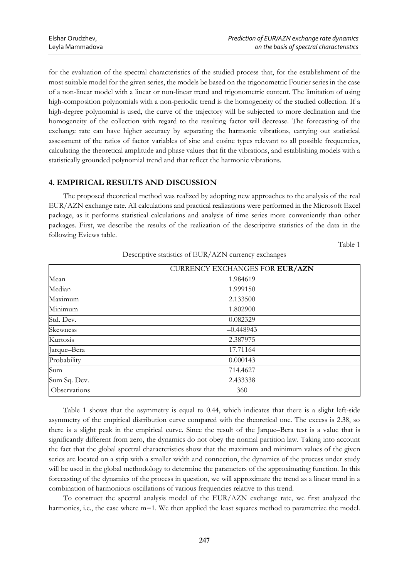for the evaluation of the spectral characteristics of the studied process that, for the establishment of the most suitable model for the given series, the models be based on the trigonometric Fourier series in the case of a non-linear model with a linear or non-linear trend and trigonometric content. The limitation of using high-composition polynomials with a non-periodic trend is the homogeneity of the studied collection. If a high-degree polynomial is used, the curve of the trajectory will be subjected to more declination and the homogeneity of the collection with regard to the resulting factor will decrease. The forecasting of the exchange rate can have higher accuracy by separating the harmonic vibrations, carrying out statistical assessment of the ratios of factor variables of sine and cosine types relevant to all possible frequencies, calculating the theoretical amplitude and phase values that fit the vibrations, and establishing models with a statistically grounded polynomial trend and that reflect the harmonic vibrations.

# **4. EMPIRICAL RESULTS AND DISCUSSION**

The proposed theoretical method was realized by adopting new approaches to the analysis of the real EUR/AZN exchange rate. All calculations and practical realizations were performed in the Microsoft Excel package, as it performs statistical calculations and analysis of time series more conveniently than other packages. First, we describe the results of the realization of the descriptive statistics of the data in the following Eviews table.

Table 1

|              | CURRENCY EXCHANGES FOR EUR/AZN |
|--------------|--------------------------------|
| Mean         | 1.984619                       |
| Median       | 1.999150                       |
| Maximum      | 2.133500                       |
| Minimum      | 1.802900                       |
| Std. Dev.    | 0.082329                       |
| Skewness     | $-0.448943$                    |
| Kurtosis     | 2.387975                       |
| Jarque-Bera  | 17.71164                       |
| Probability  | 0.000143                       |
| Sum          | 714.4627                       |
| Sum Sq. Dev. | 2.433338                       |
| Observations | 360                            |

Descriptive statistics of EUR/AZN currency exchanges

Table 1 shows that the asymmetry is equal to 0.44, which indicates that there is a slight left-side asymmetry of the empirical distribution curve compared with the theoretical one. The excess is 2.38, so there is a slight peak in the empirical curve. Since the result of the Jarque–Bera test is a value that is significantly different from zero, the dynamics do not obey the normal partition law. Taking into account the fact that the global spectral characteristics show that the maximum and minimum values of the given series are located on a strip with a smaller width and connection, the dynamics of the process under study will be used in the global methodology to determine the parameters of the approximating function. In this forecasting of the dynamics of the process in question, we will approximate the trend as a linear trend in a combination of harmonious oscillations of various frequencies relative to this trend.

To construct the spectral analysis model of the EUR/AZN exchange rate, we first analyzed the harmonics, i.e., the case where m=1. We then applied the least squares method to parametrize the model.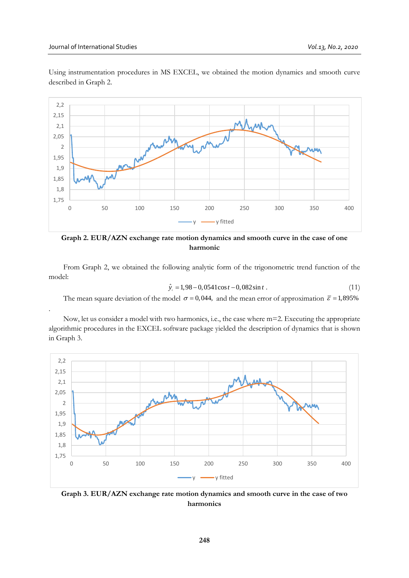.



Using instrumentation procedures in MS EXCEL, we obtained the motion dynamics and smooth curve described in Graph 2.

**Graph 2. EUR/AZN exchange rate motion dynamics and smooth curve in the case of one harmonic**

From Graph 2, we obtained the following analytic form of the trigonometric trend function of the model:

$$
\hat{y}_t = 1,98 - 0,0541 \cos t - 0,082 \sin t. \tag{11}
$$

The mean square deviation of the model  $\sigma = 0.044$ , and the mean error of approximation  $\bar{\varepsilon} = 1.895\%$ 

Now, let us consider a model with two harmonics, i.e., the case where m=2. Executing the appropriate algorithmic procedures in the EXCEL software package yielded the description of dynamics that is shown in Graph 3.



**Graph 3. EUR/AZN exchange rate motion dynamics and smooth curve in the case of two harmonics**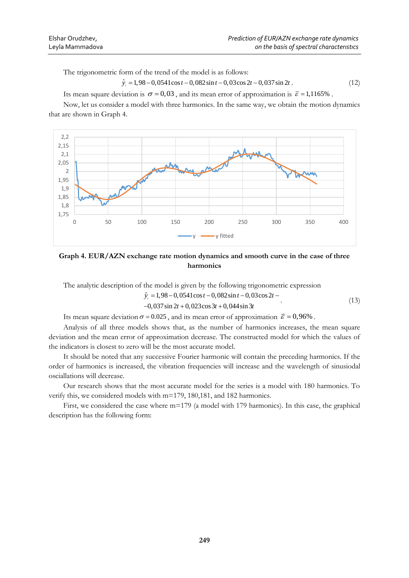The trigonometric form of the trend of the model is as follows:

 $\hat{y}_t = 1,98 - 0,0541 \cos t - 0,082 \sin t - 0,03 \cos 2t - 0,037 \sin 2t$  (12)

Its mean square deviation is  $\sigma = 0.03$ , and its mean error of approximation is  $\bar{\varepsilon} = 1.1165\%$ .

Now, let us consider a model with three harmonics. In the same way, we obtain the motion dynamics that are shown in Graph 4.



**Graph 4. EUR/AZN exchange rate motion dynamics and smooth curve in the case of three harmonics**

The analytic description of the model is given by the following trigonometric expression

$$
\hat{y}_i = 1,98 - 0,0541 \cos t - 0,082 \sin t - 0,03 \cos 2t - 0,037 \sin 2t + 0,023 \cos 3t + 0,044 \sin 3t \tag{13}
$$

Its mean square deviation  $\sigma = 0.025$ , and its mean error of approximation  $\bar{\varepsilon} = 0.96\%$ .

Analysis of all three models shows that, as the number of harmonics increases, the mean square deviation and the mean error of approximation decrease. The constructed model for which the values of the indicators is closest to zero will be the most accurate model.

It should be noted that any successive Fourier harmonic will contain the preceding harmonics. If the order of harmonics is increased, the vibration frequencies will increase and the wavelength of sinusiodal osciallations will decrease.

Our research shows that the most accurate model for the series is a model with 180 harmonics. To verify this, we considered models with m=179, 180,181, and 182 harmonics.

First, we considered the case where m=179 (a model with 179 harmonics). In this case, the graphical description has the following form: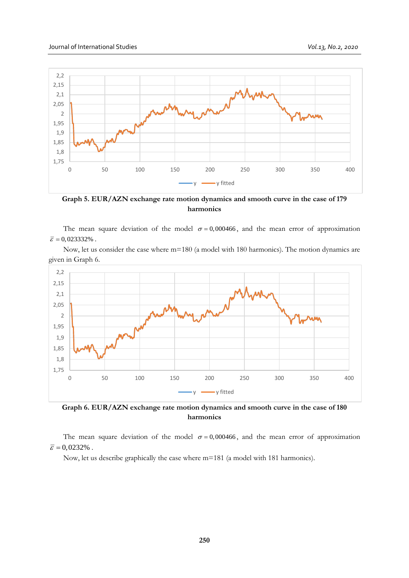

**Graph 5. EUR/AZN exchange rate motion dynamics and smooth curve in the case of 179 harmonics**

The mean square deviation of the model  $\sigma = 0,000466$ , and the mean error of approximation  $\overline{\varepsilon}$  = 0,023332% .

Now, let us consider the case where m=180 (a model with 180 harmonics). The motion dynamics are given in Graph 6.



**Graph 6. EUR/AZN exchange rate motion dynamics and smooth curve in the case of 180 harmonics**

The mean square deviation of the model  $\sigma = 0,000466$ , and the mean error of approximation  $\overline{\varepsilon}$  = 0,0232% .

Now, let us describe graphically the case where m=181 (a model with 181 harmonics).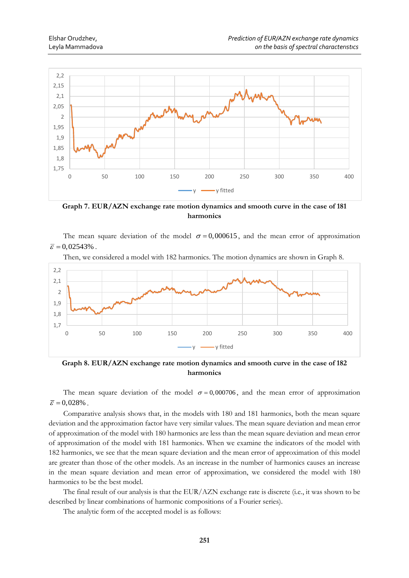

**Graph 7. EUR/AZN exchange rate motion dynamics and smooth curve in the case of 181 harmonics**

The mean square deviation of the model  $\sigma = 0,000615$ , and the mean error of approximation  $\overline{\varepsilon}$  = 0,02543% .



Then, we considered a model with 182 harmonics. The motion dynamics are shown in Graph 8.

**Graph 8. EUR/AZN exchange rate motion dynamics and smooth curve in the case of 182 harmonics**

The mean square deviation of the model  $\sigma = 0,000706$ , and the mean error of approximation  $\overline{\varepsilon}$  = 0,028%.

Comparative analysis shows that, in the models with 180 and 181 harmonics, both the mean square deviation and the approximation factor have very similar values. The mean square deviation and mean error of approximation of the model with 180 harmonics are less than the mean square deviation and mean error of approximation of the model with 181 harmonics. When we examine the indicators of the model with 182 harmonics, we see that the mean square deviation and the mean error of approximation of this model are greater than those of the other models. As an increase in the number of harmonics causes an increase in the mean square deviation and mean error of approximation, we considered the model with 180 harmonics to be the best model.

The final result of our analysis is that the EUR/AZN exchange rate is discrete (i.e., it was shown to be described by linear combinations of harmonic compositions of a Fourier series).

The analytic form of the accepted model is as follows: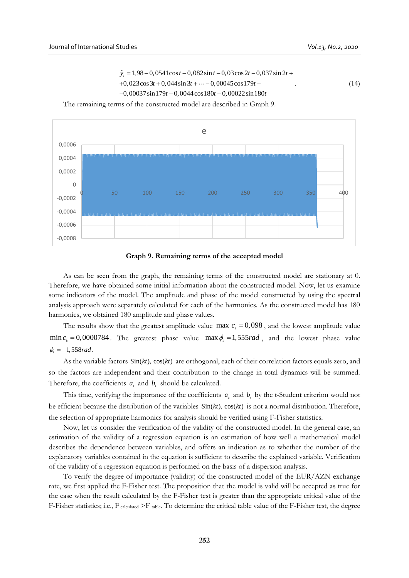$$
\hat{y}_t = 1,98 - 0,0541 \cos t - 0,082 \sin t - 0,03 \cos 2t - 0,037 \sin 2t + 0,023 \cos 3t + 0,044 \sin 3t + \cdots - 0,00045 \cos 179t - 0,00037 \sin 179t - 0,0044 \cos 180t - 0,00022 \sin 180t \tag{14}
$$

The remaining terms of the constructed model are described in Graph 9.



**Graph 9. Remaining terms of the accepted model**

As can be seen from the graph, the remaining terms of the constructed model are stationary at 0. Therefore, we have obtained some initial information about the constructed model. Now, let us examine some indicators of the model. The amplitude and phase of the model constructed by using the spectral analysis approach were separately calculated for each of the harmonics. As the constructed model has 180 harmonics, we obtained 180 amplitude and phase values.

The results show that the greatest amplitude value max  $c<sub>k</sub> = 0.098$ , and the lowest amplitude value  $\min c_k = 0.0000784$ . The greatest phase value  $\max \phi_k = 1.555$  *rad*, and the lowest phase value  $\phi = -1,558$  rad.

As the variable factors  $Sin(kt)$ ,  $cos(kt)$  are orthogonal, each of their correlation factors equals zero, and so the factors are independent and their contribution to the change in total dynamics will be summed. Therefore, the coefficients  $a_k$  and  $b_k$  should be calculated.

This time, verifying the importance of the coefficients  $a_k$  and  $b_k$  by the t-Student criterion would not be efficient because the distribution of the variables  $Sin(kt)$ ,  $cos(kt)$  is not a normal distribution. Therefore, the selection of appropriate harmonics for analysis should be verified using F-Fisher statistics.

Now, let us consider the verification of the validity of the constructed model. In the general case, an estimation of the validity of a regression equation is an estimation of how well a mathematical model describes the dependence between variables, and offers an indication as to whether the number of the explanatory variables contained in the equation is sufficient to describe the explained variable. Verification of the validity of a regression equation is performed on the basis of a dispersion analysis.

To verify the degree of importance (validity) of the constructed model of the EUR/AZN exchange rate, we first applied the F-Fisher test. The proposition that the model is valid will be accepted as true for the case when the result calculated by the F-Fisher test is greater than the appropriate critical value of the F-Fisher statistics; i.e.,  $F_{\text{calculated}}$  >F<sub>table</sub>. To determine the critical table value of the F-Fisher test, the degree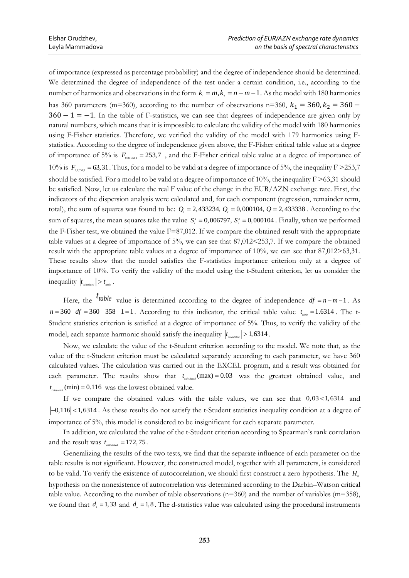of importance (expressed as percentage probability) and the degree of independence should be determined. We determined the degree of independence of the test under a certain condition, i.e., according to the number of harmonics and observations in the form  $k_1 = m$ ,  $k_2 = n - m - 1$ . As the model with 180 harmonics has 360 parameters (m=360), according to the number of observations n=360,  $k_1 = 360$ ,  $k_2 = 360$  –  $360 - 1 = -1$ . In the table of F-statistics, we can see that degrees of independence are given only by natural numbers, which means that it is impossible to calculate the validity of the model with 180 harmonics using F-Fisher statistics. Therefore, we verified the validity of the model with 179 harmonics using Fstatistics. According to the degree of independence given above, the F-Fisher critical table value at a degree of importance of 5% is  $F_{0.05;358;1} = 253,7$ , and the F-Fisher critical table value at a degree of importance of 10% is  $F_{0.13381}$  = 63,31. Thus, for a model to be valid at a degree of importance of 5%, the inequality F > 253,7 should be satisfied. For a model to be valid at a degree of importance of 10%, the inequality F >63,31 should be satisfied. Now, let us calculate the real F value of the change in the EUR/AZN exchange rate. First, the indicators of the dispersion analysis were calculated and, for each component (regression, remainder term, total), the sum of squares was found to be:  $Q<sub>r</sub> = 2,433234$ ,  $Q<sub>e</sub> = 0,000104$ ,  $Q = 2,433338$ . According to the sum of squares, the mean squares take the value  $S_r^2 = 0,006797, S_s^2 = 0,000104$ . Finally, when we performed the F-Fisher test, we obtained the value  $F=87,012$ . If we compare the obtained result with the appropriate table values at a degree of importance of 5%, we can see that 87,012<253,7. If we compare the obtained result with the appropriate table values at a degree of importance of 10%, we can see that 87,012>63,31. These results show that the model satisfies the F-statistics importance criterion only at a degree of importance of 10%. To verify the validity of the model using the t-Student criterion, let us consider the  $\left| t_{\text{calculated}} \right| > t_{\text{table}}$ .

Here, the <sup>*t*</sup>table</sup> value is determined according to the degree of independence  $df = n - m - 1$ . As  $n = 360$  *df*  $= 360 - 358 - 1 = 1$ . According to this indicator, the critical table value  $t_{\text{table}} = 1.6314$ . The t-Student statistics criterion is satisfied at a degree of importance of 5%. Thus, to verify the validity of the model, each separate harmonic should satisfy the inequality  $|t_{\text{calculated}}| > 1,6314$ .

Now, we calculate the value of the t-Student criterion according to the model. We note that, as the value of the t-Student criterion must be calculated separately according to each parameter, we have 360 calculated values. The calculation was carried out in the EXCEL program, and a result was obtained for each parameter. The results show that  $t_{\text{calculated}}$  (max) = 0.03 was the greatest obtained value, and  $t_{\textit{calculated}}$  (min) = 0.116 was the lowest obtained value.

If we compare the obtained values with the table values, we can see that  $0,03 < 1,6314$  and -0,116 < 1,6314. As these results do not satisfy the t-Student statistics inequality condition at a degree of importance of 5%, this model is considered to be insignificant for each separate parameter.

In addition, we calculated the value of the t-Student criterion according to Spearman's rank correlation and the result was  $t_{calculated} = 172, 75$ .

Generalizing the results of the two tests, we find that the separate influence of each parameter on the table results is not significant. However, the constructed model, together with all parameters, is considered to be valid. To verify the existence of autocorrelation, we should first construct a zero hypothesis. The H<sub>0</sub> hypothesis on the nonexistence of autocorrelation was determined according to the Darbin–Watson critical table value. According to the number of table observations  $(n=360)$  and the number of variables  $(m=358)$ , we found that  $d_i = 1,33$  and  $d_i = 1,8$ . The d-statistics value was calculated using the procedural instruments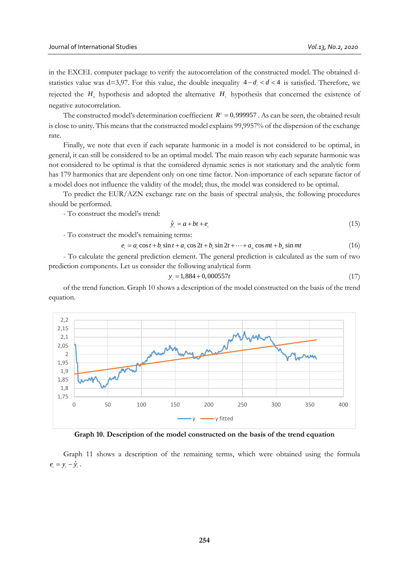in the EXCEL computer package to verify the autocorrelation of the constructed model. The obtained dstatistics value was  $d=3.97$ . For this value, the double inequality  $4-d$ <sub>*,</sub>*  $d$  < 4 is satisfied. Therefore, we</sub> rejected the  $H_0$  hypothesis and adopted the alternative  $H_1$  hypothesis that concerned the existence of negative autocorrelation.

The constructed model's determination coeffiecient  $R^2 = 0,999957$ . As can be seen, the obtained result is close to unity. This means that the constructed model explains 99,9957% of the dispersion of the exchange rate.

Finally, we note that even if each separate harmonic in a model is not considered to be optimal, in general, it can still be considered to be an optimal model. The main reason why each separate harmonic was not considered to be optimal is that the considered dynamic series is not stationary and the analytic form has 179 harmonics that are dependent only on one time factor. Non-importance of each separate factor of a model does not influence the validity of the model; thus, the model was considered to be optimal.

To predict the EUR/AZN exchange rate on the basis of spectral analysis, the following procedures should be performed.

- To construct the model's trend:

$$
\hat{y}_i = a + bt + e_i \tag{15}
$$

- To construct the model's remaining terms:

 $e_{i} = a_{i} \cos t + b_{i} \sin t + a_{i} \cos 2t + b_{i} \sin 2t + \cdots + a_{m} \cos mt + b_{m} \sin mt$ (16)

- To calculate the general prediction element. The general prediction is calculated as the sum of two prediction components. Let us consider the following analytical form

$$
y_t = 1,884 + 0,000557t\tag{17}
$$

of the trend function. Graph 10 shows a description of the model constructed on the basis of the trend equation.



**Graph 10. Description of the model constructed on the basis of the trend equation**

Graph 11 shows a description of the remaining terms, which were obtained using the formula  $e_{i} = y_{i} - \hat{y}_{i}$ .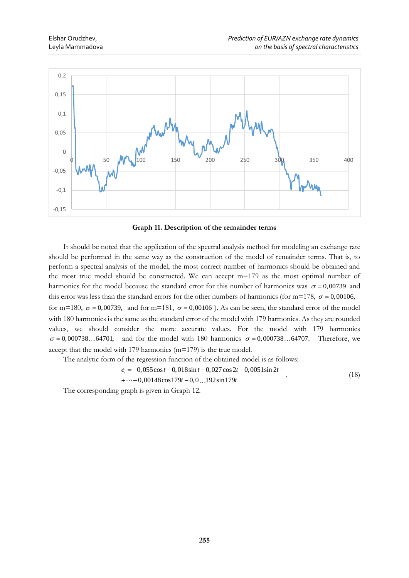

**Graph 11. Description of the remainder terms**

It should be noted that the application of the spectral analysis method for modeling an exchange rate should be performed in the same way as the construction of the model of remainder terms. That is, to perform a spectral analysis of the model, the most correct number of harmonics should be obtained and the most true model should be constructed. We can accept m=179 as the most optimal number of harmonics for the model because the standard error for this number of harmonics was  $\sigma = 0.00739$  and this error was less than the standard errors for the other numbers of harmonics (for m=178,  $\sigma$  = 0,00106, for m=180,  $\sigma$  = 0,00739, and for m=181,  $\sigma$  = 0,00106). As can be seen, the standard error of the model with 180 harmonics is the same as the standard error of the model with 179 harmonics. As they are rounded

values, we should consider the more accurate values. For the model with 179 harmonics  $\sigma = 0.000738...$  64701, and for the model with 180 harmonics  $\sigma = 0.000738...$  64707. Therefore, we accept that the model with 179 harmonics (m=179) is the true model.

The analytic form of the regression function of the obtained model is as follows:

$$
e_t = -0.055\cos t - 0.018\sin t - 0.027\cos 2t - 0.0051\sin 2t + \tag{18}
$$

$$
+\cdots-0,00148\cos 179t-0,0...192\sin 179t
$$

 $(18)$ 

The corresponding graph is given in Graph 12.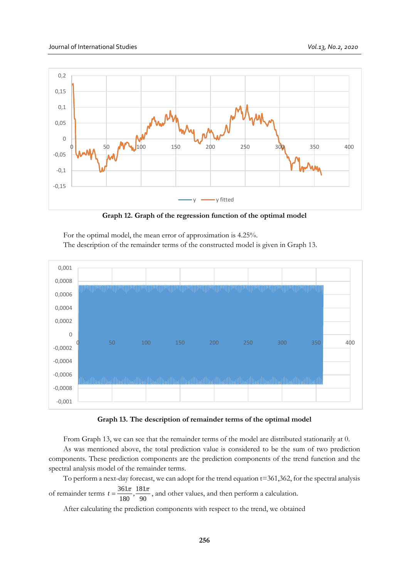

**Graph 12. Graph of the regression function of the optimal model**

For the optimal model, the mean error of approximation is 4.25%. The description of the remainder terms of the constructed model is given in Graph 13.



**Graph 13. The description of remainder terms of the optimal model**

From Graph 13, we can see that the remainder terms of the model are distributed stationarily at 0.

As was mentioned above, the total prediction value is considered to be the sum of two prediction components. These prediction components are the prediction components of the trend function and the spectral analysis model of the remainder terms.

To perform a next-day forecast, we can adopt for the trend equation t=361,362, for the spectral analysis of remainder terms  $t = \frac{361\pi}{180}$ ,  $\frac{181\pi}{90}$ , and other values, and then perform a calculation.

After calculating the prediction components with respect to the trend, we obtained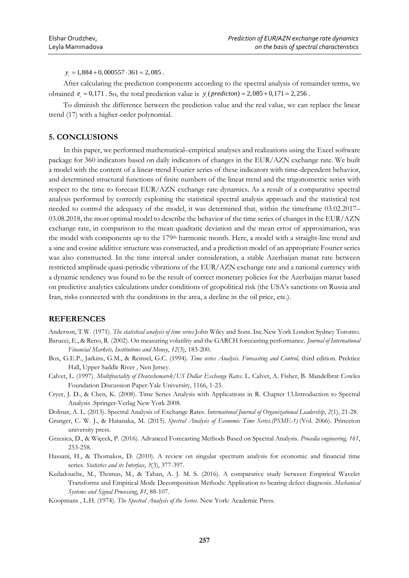$y_i = 1,884 + 0,000557 \cdot 361 = 2,085$ .

After calculating the prediction components according to the spectral analysis of remainder terms, we obtained  $e_i = 0.171$ . So, the total prediction value is  $y_i$  (*predicton*) = 2,085 + 0,171 = 2,256.

To diminish the difference between the prediction value and the real value, we can replace the linear trend (17) with a higher-order polynomial.

#### **5. CONCLUSIONS**

In this paper, we performed mathematical–empirical analyses and realizations using the Excel software package for 360 indicators based on daily indicators of changes in the EUR/AZN exchange rate. We built a model with the content of a linear-trend Fourier series of these indicators with time-dependent behavior, and determined structural functions of finite numbers of the linear trend and the trigonometric series with respect to the time to forecast EUR/AZN exchange rate dynamics. As a result of a comparative spectral analysis performed by correctly exploiting the statistical spectral analysis approach and the statistical test needed to control the adequacy of the model, it was determined that, within the timeframe 03.02.2017– 03.08.2018, the most optimal model to describe the behavior of the time series of changes in the EUR/AZN exchange rate, in comparison to the mean quadratic deviation and the mean error of approximation, was the model with components up to the 179th harmonic month. Here, a model with a straight-line trend and a sine and cosine additive structure was constructed, and a prediction model of an appropriate Fourier series was also constructed. In the time interval under consideration, a stable Azerbaijan manat rate between restricted amplitude quasi-periodic vibrations of the EUR/AZN exchange rate and a national currency with a dynamic tendency was found to be the result of correct monetary policies for the Azerbaijan manat based on predictive analytics calculations under conditions of geopolitical risk (the USA's sanctions on Russia and Iran, risks connected with the conditions in the area, a decline in the oil price, etc.).

## **REFERENCES**

Anderson, T.W. (1971). *The statistical analysis of time series*.John Wiley and Sons. Inc.New York London Sydney Toronto. Barucci, E., & Reno, R. (2002). On measuring volatility and the GARCH forecasting performance. *Journal of International* 

*Financial Markets, Institutions and Money*, *12*(3), 183-200.

- Box, G.E.P., Jarkins, G.M., & Reinsel, G.C. (1994). *Time series Analysis. Forecasting and Control,* third edition. Prektice Hall, Upper Saddle River , Nen Jersey.
- Calvet, L. (1997). *Multifractality of Deutschemarek/US Dollar Exchange Rates.* L. Calvet, A. Fisher, B. Mandelbrat Cowles Foundation Discussion Paper-Yale University, 1166, 1-23.
- Cryer, J. D., & Chen, K. (2008). Time Series Analysis with Applications in R. Chapter 13.Introduction to Spectral Analysis .Springer-Verlag New York 2008.
- Dolinar, A. L. (2013). Spectral Analysis of Exchange Rates. *International Journal of Organizational Leadership*, *2*(1), 21-28.
- Granger, C. W. J., & Hatanaka, M. (2015). *Spectral Analysis of Economic Time Series.(PSME-1)* (Vol. 2066). Princeton university press.
- Grzesica, D., & Więcek, P. (2016). Advanced Forecasting Methods Based on Spectral Analysis. *Procedia engineering, 161*, 253-258.
- Hassani, H., & Thomakos, D. (2010). A review on singular spectrum analysis for economic and financial time series. *Statistics and its Interface*, *3*(3), 377-397.
- Kedadouche, M., Thomas, M., & Tahan, A. J. M. S. (2016). A comparative study between Empirical Wavelet Transforms and Empirical Mode Decomposition Methods: Application to bearing defect diagnosis. *Mechanical Systems and Signal Processing*, *81*, 88-107.

Koopmans , L.H. (1974). *The Spectral Analysis of the Series*. New York: Academic Press.